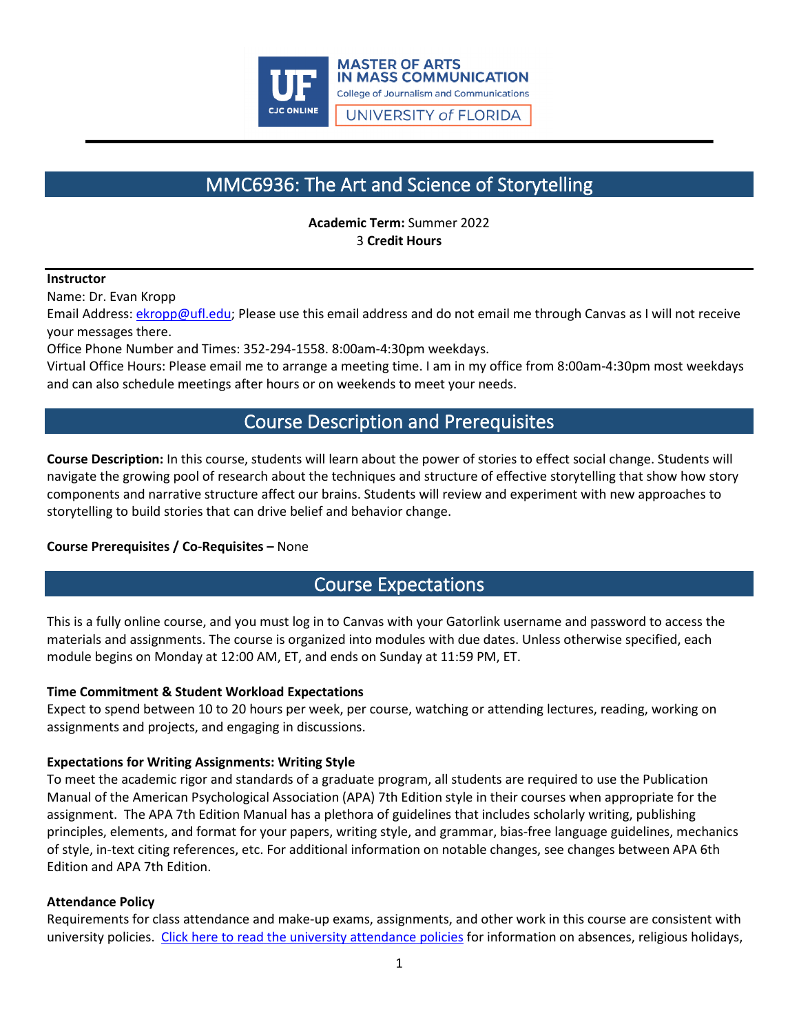

# MMC6936: The Art and Science of Storytelling

**Academic Term:** Summer 2022 3 **Credit Hours**

### **Instructor**

Name: Dr. Evan Kropp

Email Address: [ekropp@ufl.edu;](mailto:ekropp@ufl.edu) Please use this email address and do not email me through Canvas as I will not receive your messages there.

Office Phone Number and Times: 352-294-1558. 8:00am-4:30pm weekdays.

Virtual Office Hours: Please email me to arrange a meeting time. I am in my office from 8:00am-4:30pm most weekdays and can also schedule meetings after hours or on weekends to meet your needs.

## Course Description and Prerequisites

**Course Description:** In this course, students will learn about the power of stories to effect social change. Students will navigate the growing pool of research about the techniques and structure of effective storytelling that show how story components and narrative structure affect our brains. Students will review and experiment with new approaches to storytelling to build stories that can drive belief and behavior change.

## **Course Prerequisites / Co-Requisites –** None

## Course Expectations

This is a fully online course, and you must log in to Canvas with your Gatorlink username and password to access the materials and assignments. The course is organized into modules with due dates. Unless otherwise specified, each module begins on Monday at 12:00 AM, ET, and ends on Sunday at 11:59 PM, ET.

### **Time Commitment & Student Workload Expectations**

Expect to spend between 10 to 20 hours per week, per course, watching or attending lectures, reading, working on assignments and projects, and engaging in discussions.

### **Expectations for Writing Assignments: Writing Style**

To meet the academic rigor and standards of a graduate program, all students are required to use the Publication Manual of the American Psychological Association (APA) 7th Edition style in their courses when appropriate for the assignment. The APA 7th Edition Manual has a plethora of guidelines that includes scholarly writing, publishing principles, elements, and format for your papers, writing style, and grammar, bias-free language guidelines, mechanics of style, in-text citing references, etc. For additional information on notable changes, see changes between APA 6th Edition and APA 7th Edition.

### **Attendance Policy**

Requirements for class attendance and make-up exams, assignments, and other work in this course are consistent with university policies. [Click here to read the university attendance policies](https://catalog.ufl.edu/UGRD/academic-regulations/attendance-policies/) for information on absences, religious holidays,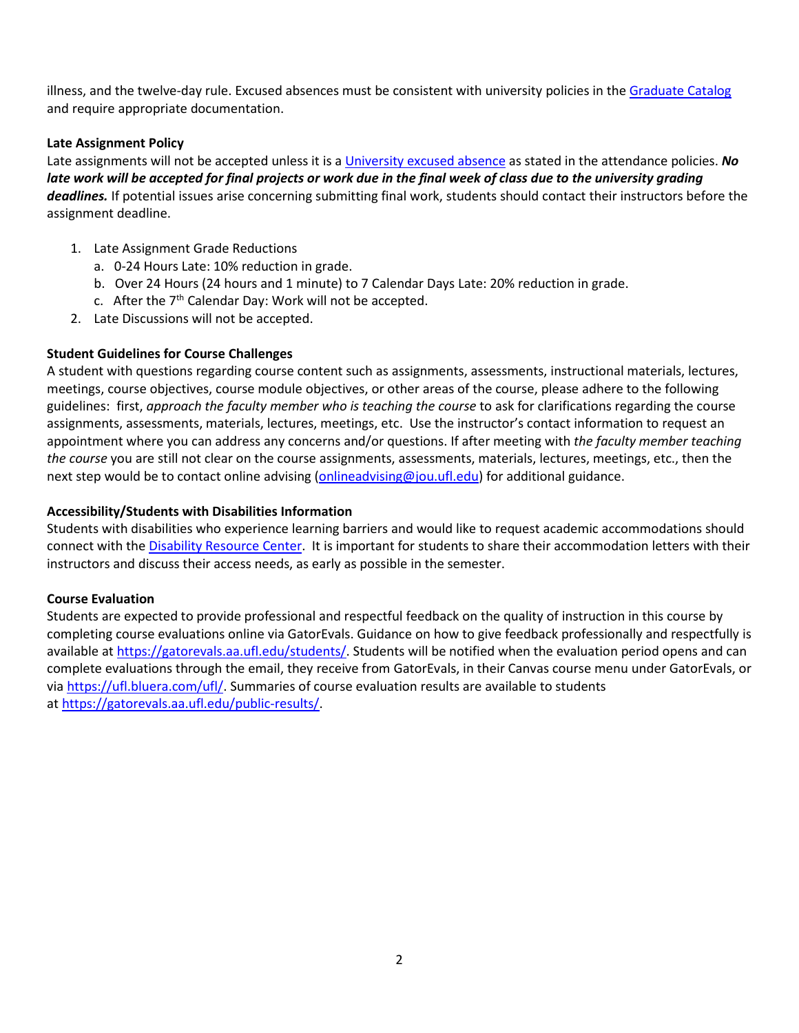illness, and the twelve-day rule. Excused absences must be consistent with university policies in th[e Graduate Catalog](https://gradcatalog.ufl.edu/graduate/) and require appropriate documentation.

## **Late Assignment Policy**

Late assignments will not be accepted unless it is [a University excused absence](https://catalog.ufl.edu/UGRD/academic-regulations/attendance-policies/) as stated in the attendance policies. *No*  late work will be accepted for final projects or work due in the final week of class due to the university grading *deadlines.* If potential issues arise concerning submitting final work, students should contact their instructors before the assignment deadline.

- 1. Late Assignment Grade Reductions
	- a. 0-24 Hours Late: 10% reduction in grade.
	- b. Over 24 Hours (24 hours and 1 minute) to 7 Calendar Days Late: 20% reduction in grade.
	- c. After the  $7<sup>th</sup>$  Calendar Day: Work will not be accepted.
- 2. Late Discussions will not be accepted.

### **Student Guidelines for Course Challenges**

A student with questions regarding course content such as assignments, assessments, instructional materials, lectures, meetings, course objectives, course module objectives, or other areas of the course, please adhere to the following guidelines: first, *approach the faculty member who is teaching the course* to ask for clarifications regarding the course assignments, assessments, materials, lectures, meetings, etc. Use the instructor's contact information to request an appointment where you can address any concerns and/or questions. If after meeting with *the faculty member teaching the course* you are still not clear on the course assignments, assessments, materials, lectures, meetings, etc., then the next step would be to contact online advising [\(onlineadvising@jou.ufl.edu\)](mailto:onlineadvising@jou.ufl.edu) for additional guidance.

### **Accessibility/Students with Disabilities Information**

Students with disabilities who experience learning barriers and would like to request academic accommodations should connect with the [Disability Resource Center.](https://disability.ufl.edu/students/get-started/) It is important for students to share their accommodation letters with their instructors and discuss their access needs, as early as possible in the semester.

### **Course Evaluation**

Students are expected to provide professional and respectful feedback on the quality of instruction in this course by completing course evaluations online via GatorEvals. Guidance on how to give feedback professionally and respectfully is available at [https://gatorevals.aa.ufl.edu/students/.](https://gatorevals.aa.ufl.edu/students/) Students will be notified when the evaluation period opens and can complete evaluations through the email, they receive from GatorEvals, in their Canvas course menu under GatorEvals, or via [https://ufl.bluera.com/ufl/.](https://ufl.bluera.com/ufl/) Summaries of course evaluation results are available to students at [https://gatorevals.aa.ufl.edu/public-results/.](https://gatorevals.aa.ufl.edu/public-results/)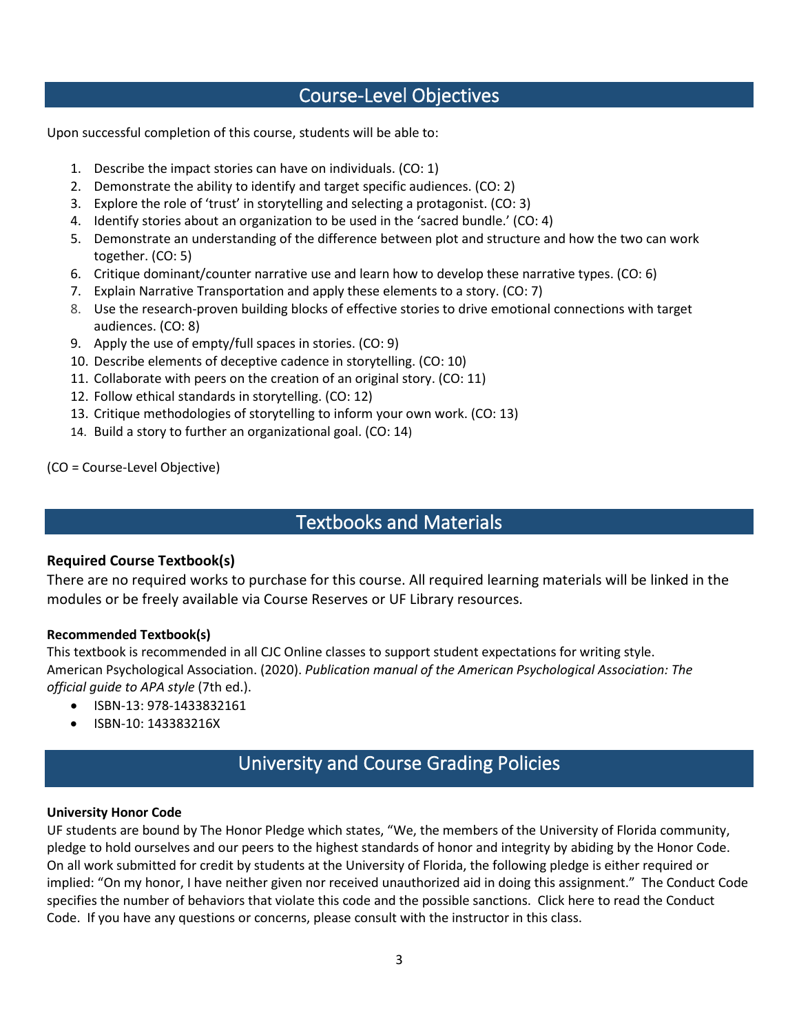## Course-Level Objectives

Upon successful completion of this course, students will be able to:

- 1. Describe the impact stories can have on individuals. (CO: 1)
- 2. Demonstrate the ability to identify and target specific audiences. (CO: 2)
- 3. Explore the role of 'trust' in storytelling and selecting a protagonist. (CO: 3)
- 4. Identify stories about an organization to be used in the 'sacred bundle.' (CO: 4)
- 5. Demonstrate an understanding of the difference between plot and structure and how the two can work together. (CO: 5)
- 6. Critique dominant/counter narrative use and learn how to develop these narrative types. (CO: 6)
- 7. Explain Narrative Transportation and apply these elements to a story. (CO: 7)
- 8. Use the research-proven building blocks of effective stories to drive emotional connections with target audiences. (CO: 8)
- 9. Apply the use of empty/full spaces in stories. (CO: 9)
- 10. Describe elements of deceptive cadence in storytelling. (CO: 10)
- 11. Collaborate with peers on the creation of an original story. (CO: 11)
- 12. Follow ethical standards in storytelling. (CO: 12)
- 13. Critique methodologies of storytelling to inform your own work. (CO: 13)
- 14. Build a story to further an organizational goal. (CO: 14)

(CO = Course-Level Objective)

## Textbooks and Materials

## **Required Course Textbook(s)**

There are no required works to purchase for this course. All required learning materials will be linked in the modules or be freely available via Course Reserves or UF Library resources.

### **Recommended Textbook(s)**

This textbook is recommended in all CJC Online classes to support student expectations for writing style. American Psychological Association. (2020). *Publication manual of the American Psychological Association: The official guide to APA style* (7th ed.).

- ISBN-13: 978-1433832161
- ISBN-10: 143383216X

# University and Course Grading Policies

### **University Honor Code**

UF students are bound by The Honor Pledge which states, "We, the members of the University of Florida community, pledge to hold ourselves and our peers to the highest standards of honor and integrity by abiding by the Honor Code. On all work submitted for credit by students at the University of Florida, the following pledge is either required or implied: "On my honor, I have neither given nor received unauthorized aid in doing this assignment." The Conduct Code specifies the number of behaviors that violate this code and the possible sanctions. Click here to read the Conduct Code. If you have any questions or concerns, please consult with the instructor in this class.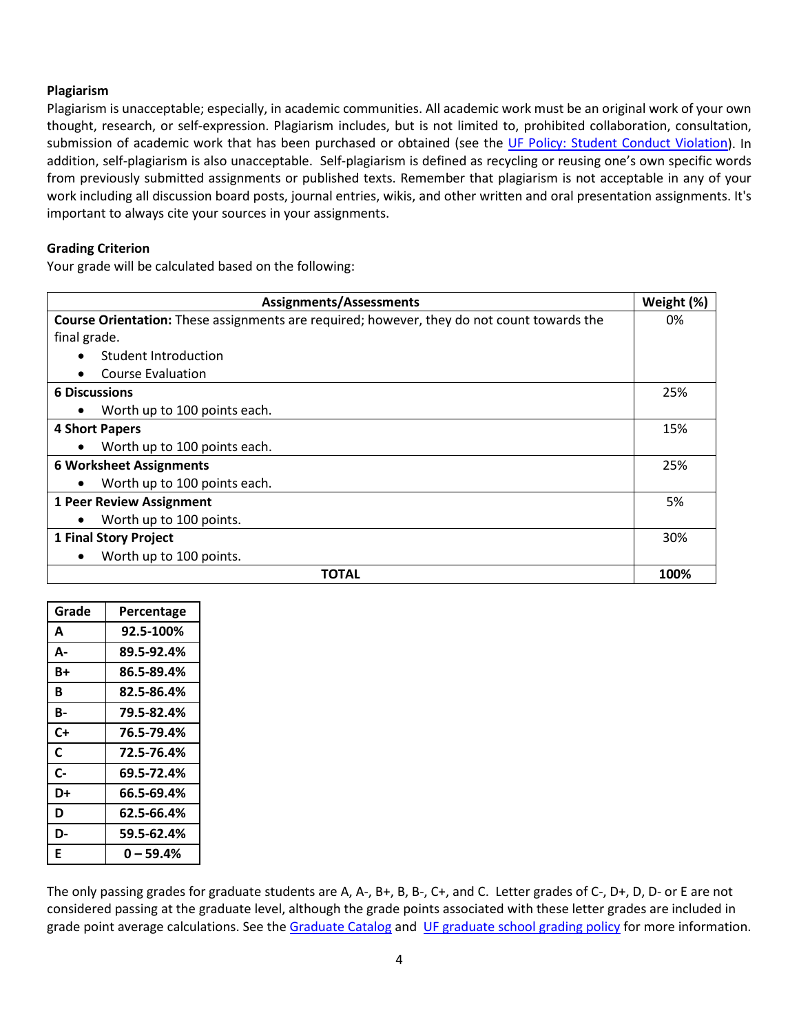#### **Plagiarism**

Plagiarism is unacceptable; especially, in academic communities. All academic work must be an original work of your own thought, research, or self-expression. Plagiarism includes, but is not limited to, prohibited collaboration, consultation, submission of academic work that has been purchased or obtained (see the [UF Policy: Student Conduct Violation\)](https://flexible.dce.ufl.edu/media/flexibledceufledu/documents/uf_policy_student_conduct.pdf). In addition, self-plagiarism is also unacceptable. Self-plagiarism is defined as recycling or reusing one's own specific words from previously submitted assignments or published texts. Remember that plagiarism is not acceptable in any of your work including all discussion board posts, journal entries, wikis, and other written and oral presentation assignments. It's important to always cite your sources in your assignments.

#### **Grading Criterion**

Your grade will be calculated based on the following:

| <b>Assignments/Assessments</b>                                                                    | Weight (%) |
|---------------------------------------------------------------------------------------------------|------------|
| <b>Course Orientation:</b> These assignments are required; however, they do not count towards the | 0%         |
| final grade.                                                                                      |            |
| Student Introduction                                                                              |            |
| <b>Course Evaluation</b>                                                                          |            |
| <b>6 Discussions</b>                                                                              | 25%        |
| Worth up to 100 points each.                                                                      |            |
| 4 Short Papers                                                                                    | 15%        |
| Worth up to 100 points each.                                                                      |            |
| <b>6 Worksheet Assignments</b>                                                                    |            |
| Worth up to 100 points each.                                                                      |            |
| <b>1 Peer Review Assignment</b>                                                                   | 5%         |
| Worth up to 100 points.                                                                           |            |
| 1 Final Story Project                                                                             | 30%        |
| Worth up to 100 points.<br>$\bullet$                                                              |            |
| <b>TOTAL</b>                                                                                      | 100%       |

| Grade        | Percentage |
|--------------|------------|
| A            | 92.5-100%  |
| А-           | 89.5-92.4% |
| B+           | 86.5-89.4% |
| В            | 82.5-86.4% |
| В-           | 79.5-82.4% |
| C+           | 76.5-79.4% |
| C            | 72.5-76.4% |
| $\mathsf{C}$ | 69.5-72.4% |
| D+           | 66.5-69.4% |
| D            | 62.5-66.4% |
| D-           | 59.5-62.4% |
| E            | 0 – 59.4%  |

The only passing grades for graduate students are A, A-, B+, B, B-, C+, and C. Letter grades of C-, D+, D, D- or E are not considered passing at the graduate level, although the grade points associated with these letter grades are included in grade point average calculations. See the [Graduate Catalog](https://gradcatalog.ufl.edu/graduate/) and [UF graduate school grading policy](https://gradcatalog.ufl.edu/graduate/regulations/) for more information.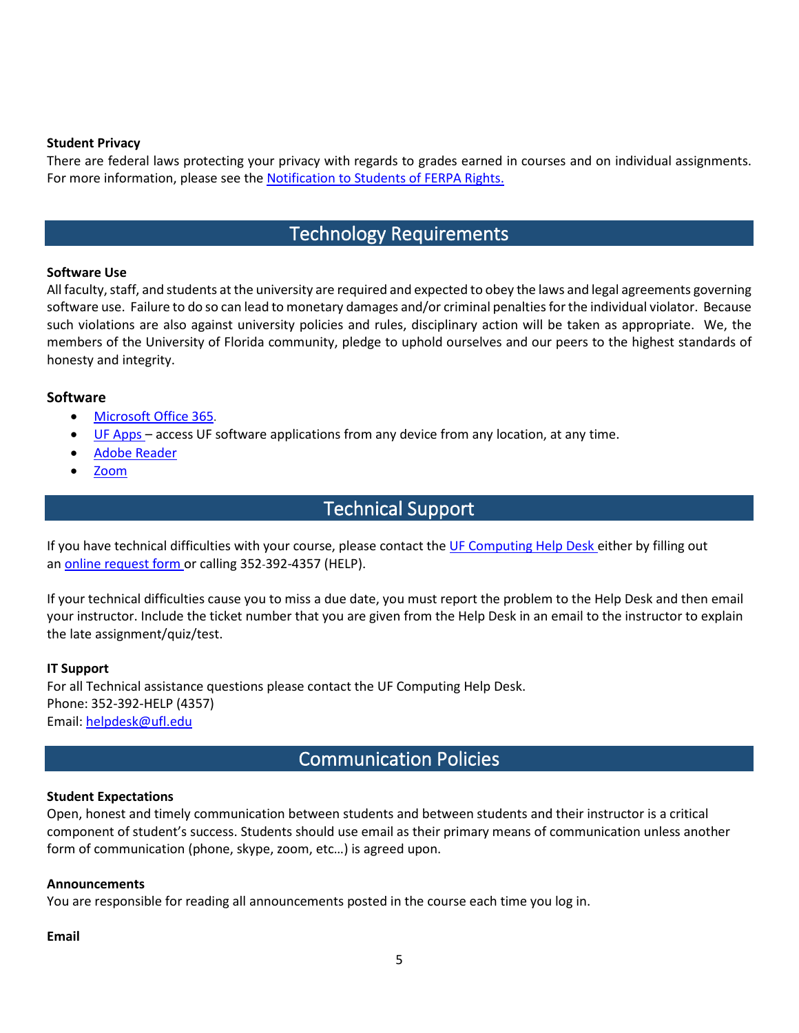#### **Student Privacy**

There are federal laws protecting your privacy with regards to grades earned in courses and on individual assignments. For more information, please see the [Notification to Students of FERPA Rights.](https://registrar.ufl.edu/ferpa/) 

## Technology Requirements

#### **Software Use**

All faculty, staff, and students at the university are required and expected to obey the laws and legal agreements governing software use. Failure to do so can lead to monetary damages and/or criminal penalties for the individual violator. Because such violations are also against university policies and rules, disciplinary action will be taken as appropriate. We, the members of the University of Florida community, pledge to uphold ourselves and our peers to the highest standards of honesty and integrity.

### **Software**

- [Microsoft Office 365.](https://news.it.ufl.edu/education/free-software-downloads-of-ms-office-365/)
- [UF Apps](https://info.apps.ufl.edu/) access UF software applications from any device from any location, at any time.
- [Adobe Reader](https://get.adobe.com/reader/)
- [Zoom](https://ufl.zoom.us/)

## Technical Support

If you have technical difficulties with your course, please contact the [UF Computing Help Desk](https://helpdesk.ufl.edu/) either by filling out an [online request form](https://my.it.ufl.edu/CherwellPortal/UFITServicePortal) or calling 352-392-4357 (HELP).

If your technical difficulties cause you to miss a due date, you must report the problem to the Help Desk and then email your instructor. Include the ticket number that you are given from the Help Desk in an email to the instructor to explain the late assignment/quiz/test.

#### **IT Support**

For all Technical assistance questions please contact the UF Computing Help Desk. Phone: 352-392-HELP (4357) Email: [helpdesk@ufl.edu](mailto:helpdesk@ufl.edu)

## Communication Policies

### **Student Expectations**

Open, honest and timely communication between students and between students and their instructor is a critical component of student's success. Students should use email as their primary means of communication unless another form of communication (phone, skype, zoom, etc…) is agreed upon.

#### **Announcements**

You are responsible for reading all announcements posted in the course each time you log in.

#### **Email**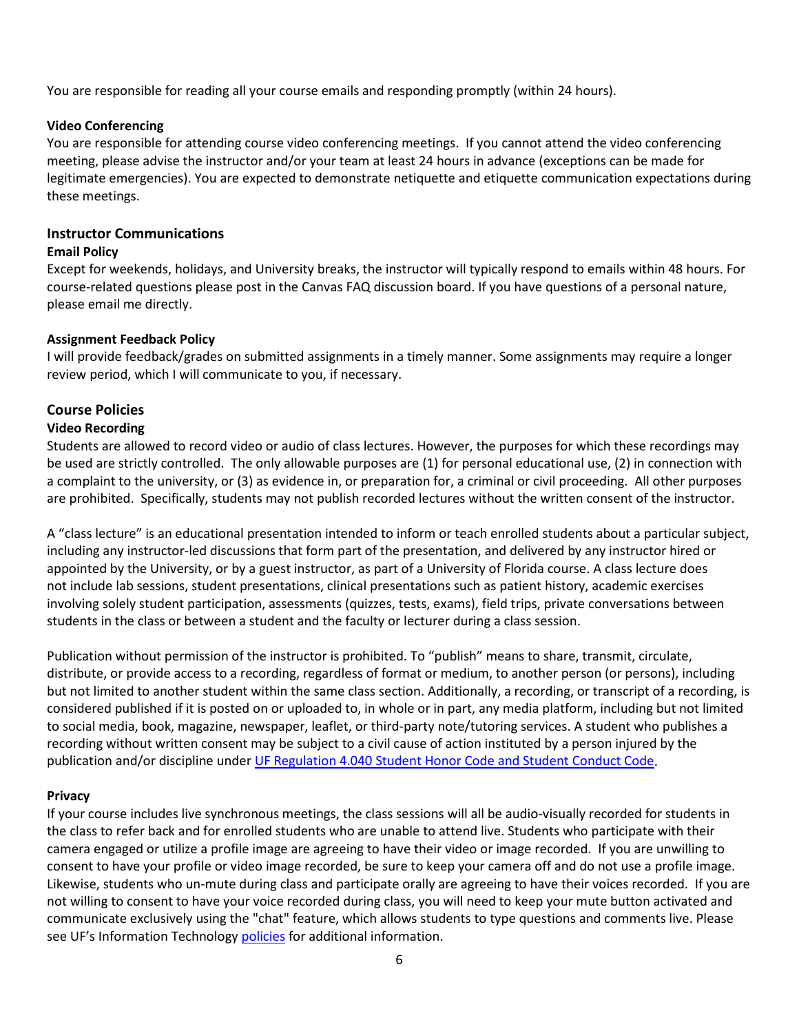You are responsible for reading all your course emails and responding promptly (within 24 hours).

### **Video Conferencing**

You are responsible for attending course video conferencing meetings. If you cannot attend the video conferencing meeting, please advise the instructor and/or your team at least 24 hours in advance (exceptions can be made for legitimate emergencies). You are expected to demonstrate netiquette and etiquette communication expectations during these meetings.

## **Instructor Communications**

### **Email Policy**

Except for weekends, holidays, and University breaks, the instructor will typically respond to emails within 48 hours. For course-related questions please post in the Canvas FAQ discussion board. If you have questions of a personal nature, please email me directly.

### **Assignment Feedback Policy**

I will provide feedback/grades on submitted assignments in a timely manner. Some assignments may require a longer review period, which I will communicate to you, if necessary.

## **Course Policies**

### **Video Recording**

Students are allowed to record video or audio of class lectures. However, the purposes for which these recordings may be used are strictly controlled. The only allowable purposes are (1) for personal educational use, (2) in connection with a complaint to the university, or (3) as evidence in, or preparation for, a criminal or civil proceeding. All other purposes are prohibited. Specifically, students may not publish recorded lectures without the written consent of the instructor.

A "class lecture" is an educational presentation intended to inform or teach enrolled students about a particular subject, including any instructor-led discussions that form part of the presentation, and delivered by any instructor hired or appointed by the University, or by a guest instructor, as part of a University of Florida course. A class lecture does not include lab sessions, student presentations, clinical presentations such as patient history, academic exercises involving solely student participation, assessments (quizzes, tests, exams), field trips, private conversations between students in the class or between a student and the faculty or lecturer during a class session.

Publication without permission of the instructor is prohibited. To "publish" means to share, transmit, circulate, distribute, or provide access to a recording, regardless of format or medium, to another person (or persons), including but not limited to another student within the same class section. Additionally, a recording, or transcript of a recording, is considered published if it is posted on or uploaded to, in whole or in part, any media platform, including but not limited to social media, book, magazine, newspaper, leaflet, or third-party note/tutoring services. A student who publishes a recording without written consent may be subject to a civil cause of action instituted by a person injured by the publication and/or discipline under [UF Regulation 4.040 Student Honor Code and Student Conduct Code.](https://sccr.dso.ufl.edu/policies/student-honor-code-student-conduct-code/)

### **Privacy**

If your course includes live synchronous meetings, the class sessions will all be audio-visually recorded for students in the class to refer back and for enrolled students who are unable to attend live. Students who participate with their camera engaged or utilize a profile image are agreeing to have their video or image recorded. If you are unwilling to consent to have your profile or video image recorded, be sure to keep your camera off and do not use a profile image. Likewise, students who un-mute during class and participate orally are agreeing to have their voices recorded. If you are not willing to consent to have your voice recorded during class, you will need to keep your mute button activated and communicate exclusively using the "chat" feature, which allows students to type questions and comments live. Please see UF's Information Technology [policies](https://it.ufl.edu/policies/) for additional information.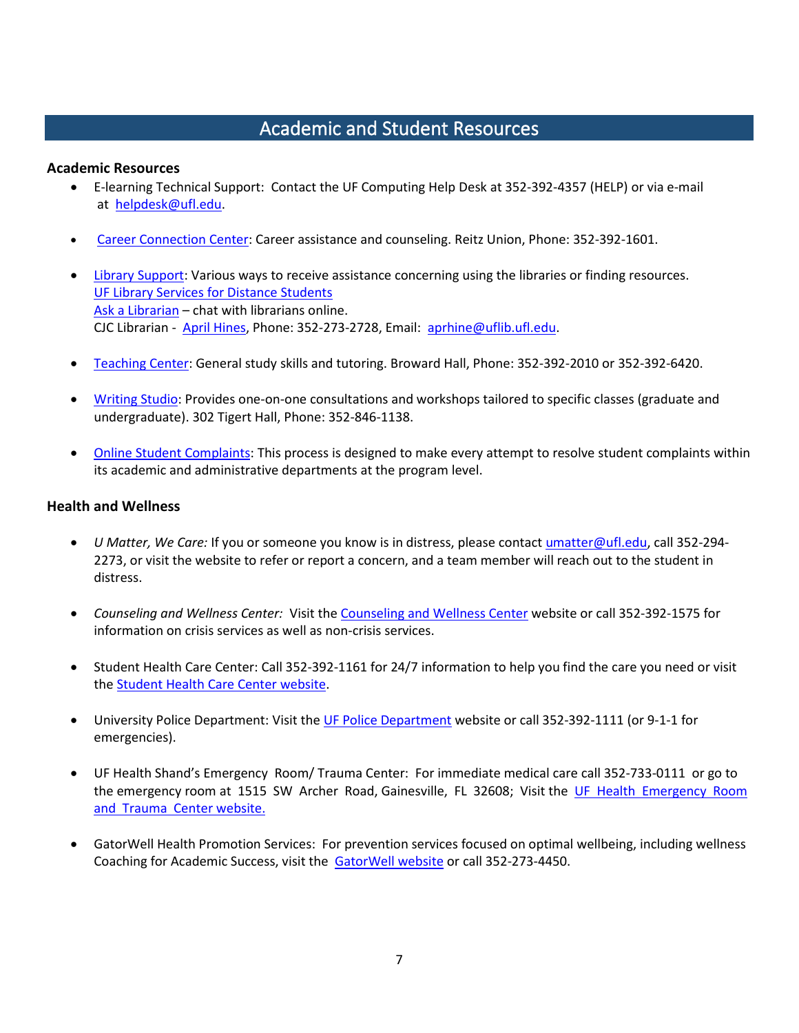# Academic and Student Resources

### **Academic Resources**

- E-learning Technical Support: Contact the UF Computing Help Desk at 352-392-4357 (HELP) or via e-mail at [helpdesk@ufl.edu.](mailto:helpdesk@ufl.edu)
- [Career Connection Center:](https://career.ufl.edu/) Career assistance and counseling. Reitz Union, Phone: 352-392-1601.
- [Library Support:](https://cms.uflib.ufl.edu/ask) Various ways to receive assistance concerning using the libraries or finding resources. [UF Library Services for Distance Students](http://guides.uflib.ufl.edu/distancelearners) [Ask a Librarian](http://cms.uflib.ufl.edu/ask) – chat with librarians online. CJC Librarian - [April Hines,](mailto:aprhine@uflib.ufl.edu) Phone: 352-273-2728, Email: [aprhine@uflib.ufl.edu.](mailto:aprhine@uflib.ufl.edu)
- [Teaching Center:](https://teachingcenter.ufl.edu/) General study skills and tutoring. Broward Hall, Phone: 352-392-2010 or 352-392-6420.
- [Writing Studio:](https://umatter.ufl.edu/office/writing-studio/) Provides one-on-one consultations and workshops tailored to specific classes (graduate and undergraduate). 302 Tigert Hall, Phone: 352-846-1138.
- [Online Student Complaints:](https://distance.ufl.edu/student-complaint-process/) This process is designed to make every attempt to resolve student complaints within its academic and administrative departments at the program level.

### **Health and Wellness**

- *U Matter, We Care:* If you or someone you know is in distress, please contact [umatter@ufl.edu,](mailto:umatter@ufl.edu) call 352-294- 2273, or visit the website to refer or report a concern, and a team member will reach out to the student in distress.
- *Counseling and Wellness Center:* Visit the [Counseling and Wellness Center](https://counseling.ufl.edu/) website or call 352-392-1575 for information on crisis services as well as non-crisis services.
- Student Health Care Center: Call 352-392-1161 for 24/7 information to help you find the care you need or visit the [Student Health Care Center website.](https://shcc.ufl.edu/)
- University Police Department: Visi[t the UF Police Department](https://police.ufl.edu/) website or call 352-392-1111 (or 9-1-1 for emergencies).
- UF Health Shand's Emergency Room/ Trauma Center: For immediate medical care call 352-733-0111 or go to the emergency room at 1515 SW Archer Road, Gainesville, FL 32608; Visit the [UF Health Emergency Room](https://ufhealth.org/emergency-room-trauma-center)  [and Trauma Center website.](https://ufhealth.org/emergency-room-trauma-center)
- GatorWell Health Promotion Services: For prevention services focused on optimal wellbeing, including wellness Coaching for Academic Success, visit the **GatorWell website** or call 352-273-4450.